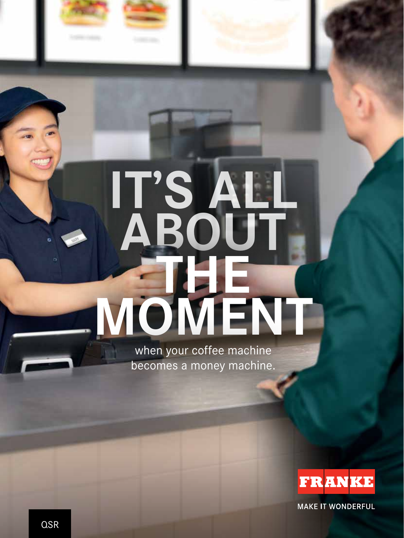

# **IT'S ALL ABOUT THE MOMENT**

when your coffee machine becomes a money machine.



**MAKE IT WONDERFUL**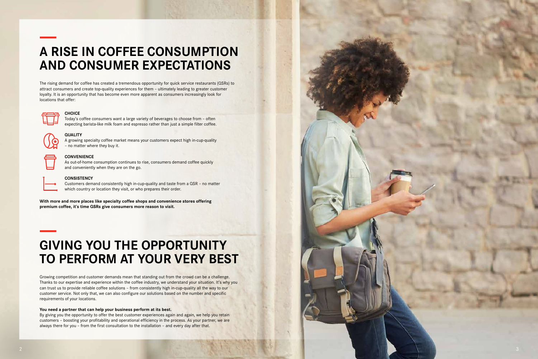The rising demand for coffee has created a tremendous opportunity for quick service restaurants (QSRs) to attract consumers and create top-quality experiences for them – ultimately leading to greater customer loyalty. It is an opportunity that has become even more apparent as consumers increasingly look for locations that offer:



**With more and more places like specialty coffee shops and convenience stores offering premium coffee, it's time QSRs give consumers more reason to visit.** 

### **A RISE IN COFFEE CONSUMPTION AND CONSUMER EXPECTATIONS**

#### **CHOICE**

Today's coffee consumers want a large variety of beverages to choose from – often expecting barista-like milk foam and espresso rather than just a simple filter coffee.



#### **QUALITY**

A growing specialty coffee market means your customers expect high in-cup-quality – no matter where they buy it.



#### **CONVENIENCE**

As out-of-home consumption continues to rise, consumers demand coffee quickly and conveniently when they are on the go.



#### **CONSISTENCY**

Customers demand consistently high in-cup-quality and taste from a QSR – no matter which country or location they visit, or who prepares their order.

### **GIVING YOU THE OPPORTUNITY TO PERFORM AT YOUR VERY BEST**

Growing competition and customer demands mean that standing out from the crowd can be a challenge. Thanks to our expertise and experience within the coffee industry, we understand your situation. It's why you can trust us to provide reliable coffee solutions – from consistently high in-cup-quality all the way to our customer service. Not only that, we can also configure our solutions based on the number and specific requirements of your locations.

#### **You need a partner that can help your business perform at its best.**

By giving you the opportunity to offer the best customer experiences again and again, we help you retain customers – boosting your profitability and operational efficiency in the process. As your partner, we are always there for you – from the first consultation to the installation – and every day after that.

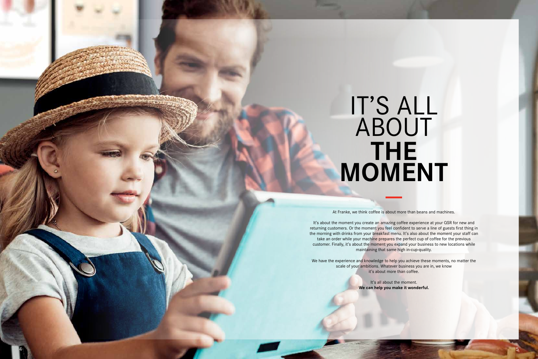## **THE MOMENT** IT'S ALL ABOUT

At Franke, we think coffee is about more than beans and machines.

It's about the moment you create an amazing coffee experience at your QSR for new and returning customers. Or the moment you feel confident to serve a line of guests first thing in the morning with drinks from your breakfast menu. It's also about the moment your staff can take an order while your machine prepares the perfect cup of coffee for the previous customer. Finally, it's about the moment you expand your business to new locations while maintaining that same high in-cup-quality.

We have the experience and knowledge to help you achieve these moments, no matter the scale of your ambitions. Whatever business you are in, we know it's about more than coffee.

> It's all about the moment. **We can help you make it wonderful.**

4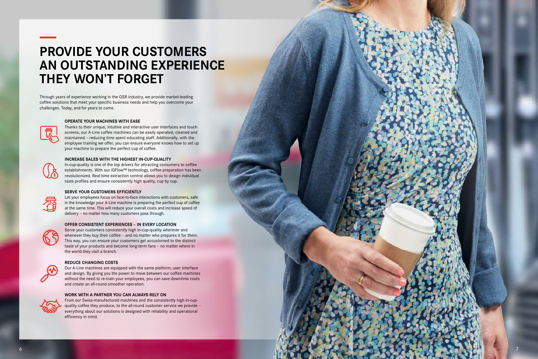Through years of experience working in the QSR industry, we provide market-leading coffee solutions that meet your specific business needs and help you overcome your challenges. Today, and for years to come.



### **PROVIDE YOUR CUSTOMERS AN OUTSTANDING EXPERIENCE THEY WON'T FORGET**

#### **OPERATE YOUR MACHINES WITH EASE**

Thanks to their unique, intuitive and interactive user interfaces and touch screens, our A-Line coffee machines can be easily operated, cleaned and maintained – reducing time spent educating staff. Additionally, with the employee training we offer, you can ensure everyone knows how to set up your machine to prepare the perfect cup of coffee.

Let your employees focus on face-to-face interactions with customers, safe in the knowledge your A-Line machine is preparing the perfect cup of coffee at the same time. This will reduce your overall costs and increase speed of delivery – no matter how many customers pass through.



#### **INCREASE SALES WITH THE HIGHEST IN-CUP-QUALITY**

In-cup-quality is one of the top drivers for attracting consumers to coffee establishments. With our iQFlow™ technology, coffee preparation has been revolutionized. Real-time extraction control allows you to design individual taste profiles and ensure consistently high quality, cup by cup.

#### **SERVE YOUR CUSTOMERS EFFICIENTLY**

#### **OFFER CONSISTENT EXPERIENCES – IN EVERY LOCATION**

Serve your customers consistently high in-cup-quality wherever and whenever they buy their coffee – and no matter who prepares it for them. This way, you can ensure your customers get accustomed to the distinct taste of your products and become long-term fans – no matter where in the world they visit a branch.

#### **REDUCE CHANGING COSTS**

Our A-Line machines are equipped with the same platform, user interface and design. By giving you the power to move between our coffee machines without the need to re-train your employees, you can save downtime costs and create an all-round smoother operation.

#### **WORK WITH A PARTNER YOU CAN ALWAYS RELY ON**



From our Swiss-manufactured machines and the consistently high in-cupquality coffee they produce, to the all-round customer service we provide – everything about our solutions is designed with reliability and operational efficiency in mind.

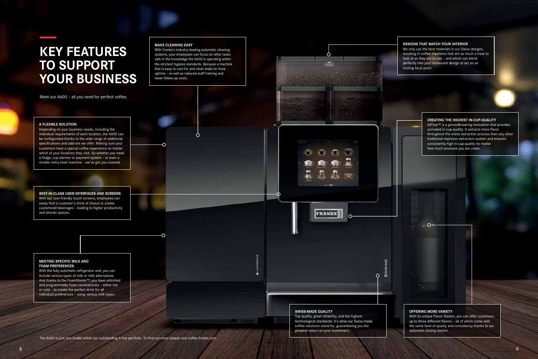Meet our A600 – all you need for perfect coffee.

The A600 is just one model within our outstanding A-line portfolio. To find out more please visit coffee.franke.com.

### **KEY FEATURES TO SUPPORT YOUR BUSINESS**

#### **MAKE CLEANING EASY**

With Franke's industry-leading automatic cleaning systems, your employees can focus on other tasks safe in the knowledge the A600 is operating within the strictest hygiene standards. Because a machine that is easy to care for and clean leads to more uptime – as well as reduced staff training and lower follow-up costs.

 $\bigcap$ 

#### **A FLEXIBLE SOLUTION**

Depending on your business needs, including the individual requirements of each location, the A600 can be configurated thanks to the wide range of additional specifications and add-ons we offer. Making sure your customers have a special coffee experience no matter which of your locations they visit. So whether you need a fridge, cup warmer or payment system – or even a smaller entry-level machine – we've got you covered.

**BEST-IN-CLASS USER INTERFACES AND SCREENS**  With our user-friendly touch screens, employees can easily find a customer's drink of choice or create customized beverages – leading to higher productivity and shorter queues.

#### **MEETING SPECIFIC MILK AND FOAM PREFERENCES**

With the fully automatic refrigerator unit, you can include various types of milk or milk alternatives. And thanks to the FoamMaster™, you have unlimited and programmable foam consistencies – either hot or cold – to create the perfect drink for all individual preferences – using various milk types.

**SWISS-MADE QUALITY**

Top quality, great reliability, and the highest

 $\overline{O}$ - C

FRANKE

technological standards: it's what our Swiss-made coffee solutions stand for, guaranteeing you the

greatest return on your investment.

#### **OFFERING MORE VARIETY**

With its unique Flavor Station, you can offer customers up to three different flavors – all of which come with the same level of quality and consistency thanks to our automatic dosing station.

#### **CREATING THE HIGHEST IN-CUP-QUALITY**

iQFlow™ is a groundbreaking innovation that provides unrivaled in-cup-quality. It extracts more flavor throughout the entire extraction process than any other traditional espresso extraction system and ensures consistently high in-cup-quality no matter how much pressure you are under.



#### **DESIGNS THAT MATCH YOUR INTERIOR**

We only use the best materials in our Swiss designs, resulting in coffee machines that are as much a treat to look at as they are to use – and which can blend perfectly into your restaurant design or act as an inviting focal point.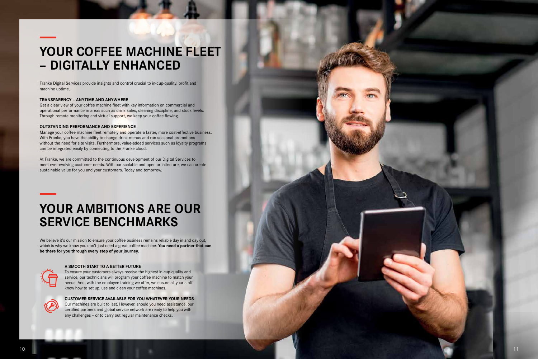Franke Digital Services provide insights and control crucial to in-cup-quality, profit and machine uptime.

Get a clear view of your coffee machine fleet with key information on commercial and operational performance in areas such as drink sales, cleaning discipline, and stock levels. Through remote monitoring and virtual support, we keep your coffee flowing.

#### **TRANSPARENCY – ANYTIME AND ANYWHERE**

#### **OUTSTANDING PERFORMANCE AND EXPERIENCE**

Manage your coffee machine fleet remotely and operate a faster, more cost-effective business. With Franke, you have the ability to change drink menus and run seasonal promotions without the need for site visits. Furthermore, value-added services such as loyalty programs can be integrated easily by connecting to the Franke cloud.

We believe it's our mission to ensure your coffee business remains reliable day in and day out, which is why we know you don't just need a great coffee machine. **You need a partner that can be there for you through every step of your journey.** 



At Franke, we are committed to the continuous development of our Digital Services to meet ever-evolving customer needs. With our scalable and open architecture, we can create sustainable value for you and your customers. Today and tomorrow.

### **YOUR COFFEE MACHINE FLEET – DIGITALLY ENHANCED**

### **YOUR AMBITIONS ARE OUR SERVICE BENCHMARKS**

#### **A SMOOTH START TO A BETTER FUTURE**

To ensure your customers always receive the highest in-cup-quality and service, our technicians will program your coffee machine to match your needs. And, with the employee training we offer, we ensure all your staff know how to set up, use and clean your coffee machines.



**CUSTOMER SERVICE AVAILABLE FOR YOU WHATEVER YOUR NEEDS** Our machines are built to last. However, should you need assistance, our certified partners and global service network are ready to help you with any challenges – or to carry out regular maintenance checks.